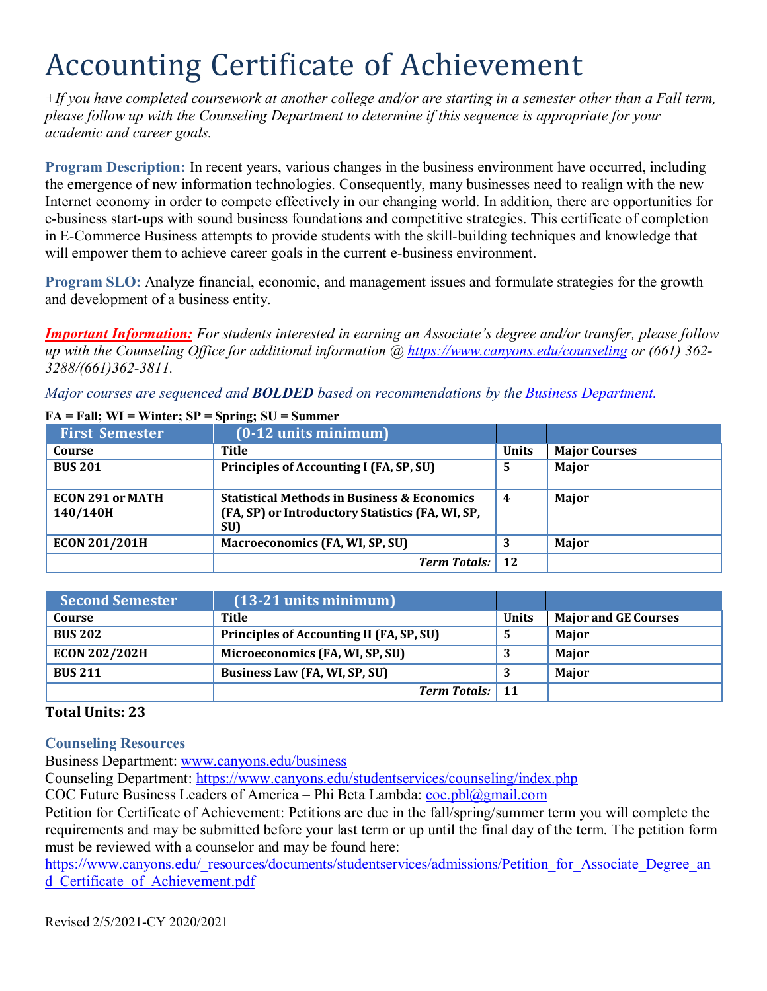## Accounting Certificate of Achievement

*+If you have completed coursework at another college and/or are starting in a semester other than a Fall term, please follow up with the Counseling Department to determine if this sequence is appropriate for your academic and career goals.*

**Program Description:** In recent years, various changes in the business environment have occurred, including the emergence of new information technologies. Consequently, many businesses need to realign with the new Internet economy in order to compete effectively in our changing world. In addition, there are opportunities for e-business start-ups with sound business foundations and competitive strategies. This certificate of completion in E-Commerce Business attempts to provide students with the skill-building techniques and knowledge that will empower them to achieve career goals in the current e-business environment.

**Program SLO:** Analyze financial, economic, and management issues and formulate strategies for the growth and development of a business entity.

*Important Information: For students interested in earning an Associate's degree and/or transfer, please follow up with the Counseling Office for additional information @ https:/[/www.canyons.edu/counseling](http://www.canyons.edu/counseling) or (661) 362- 3288/(661)362-3811.*

*Major courses are sequenced and BOLDED based on recommendations by the Business Department.*

| <b>First Semester</b>               | $(0-12 \text{ units minimum})$                                                                                    |              |                      |
|-------------------------------------|-------------------------------------------------------------------------------------------------------------------|--------------|----------------------|
| Course                              | Title                                                                                                             | <b>Units</b> | <b>Major Courses</b> |
| <b>BUS 201</b>                      | Principles of Accounting I (FA, SP, SU)                                                                           | 5            | Major                |
| <b>ECON 291 or MATH</b><br>140/140H | <b>Statistical Methods in Business &amp; Economics</b><br>(FA, SP) or Introductory Statistics (FA, WI, SP,<br>SU) | 4            | Major                |
| <b>ECON 201/201H</b>                | <b>Macroeconomics (FA, WI, SP, SU)</b>                                                                            | 3            | Major                |
|                                     | <b>Term Totals:</b>                                                                                               | 12           |                      |

## **FA = Fall; WI = Winter; SP = Spring; SU = Summer**

| <b>Second Semester</b> | $(13-21$ units minimum)                  |              |                             |
|------------------------|------------------------------------------|--------------|-----------------------------|
| Course                 | Title                                    | <b>Units</b> | <b>Major and GE Courses</b> |
| <b>BUS 202</b>         | Principles of Accounting II (FA, SP, SU) |              | Major                       |
| <b>ECON 202/202H</b>   | Microeconomics (FA, WI, SP, SU)          |              | Major                       |
| <b>BUS 211</b>         | Business Law (FA, WI, SP, SU)            |              | <b>Maior</b>                |
|                        | <b>Term Totals:</b> 11                   |              |                             |

## **Total Units: 23**

**Counseling Resources**

Business Department: [www.canyons.edu/business](http://www.canyons.edu/business)

Counseling Department: https:/[/www.canyons.edu/studentservices/counseling/index.php](http://www.canyons.edu/studentservices/counseling/index.php)

COC Future Business Leaders of America – Phi Beta Lambda:  $\frac{\cosh(a)}{a}$ gmail.com

Petition for Certificate of Achievement: Petitions are due in the fall/spring/summer term you will complete the requirements and may be submitted before your last term or up until the final day of the term. The petition form must be reviewed with a counselor and may be found here:

https:/[/www.canyons.edu/\\_resources/documents/studentservices/admissions/Petition\\_for\\_Associate\\_Degree\\_an](http://www.canyons.edu/_resources/documents/studentservices/admissions/Petition_for_Associate_Degree_an) d\_Certificate\_of\_Achievement.pdf